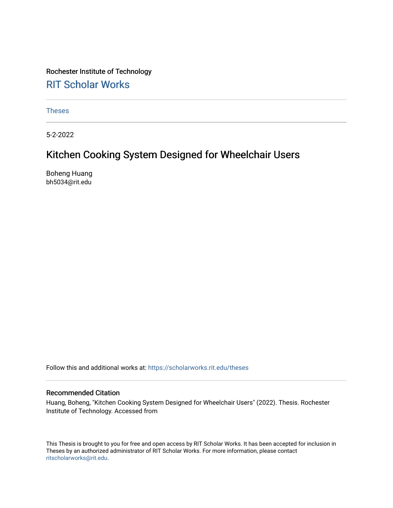# Rochester Institute of Technology [RIT Scholar Works](https://scholarworks.rit.edu/)

[Theses](https://scholarworks.rit.edu/theses) 

5-2-2022

# Kitchen Cooking System Designed for Wheelchair Users

Boheng Huang bh5034@rit.edu

Follow this and additional works at: [https://scholarworks.rit.edu/theses](https://scholarworks.rit.edu/theses?utm_source=scholarworks.rit.edu%2Ftheses%2F11141&utm_medium=PDF&utm_campaign=PDFCoverPages) 

#### Recommended Citation

Huang, Boheng, "Kitchen Cooking System Designed for Wheelchair Users" (2022). Thesis. Rochester Institute of Technology. Accessed from

This Thesis is brought to you for free and open access by RIT Scholar Works. It has been accepted for inclusion in Theses by an authorized administrator of RIT Scholar Works. For more information, please contact [ritscholarworks@rit.edu](mailto:ritscholarworks@rit.edu).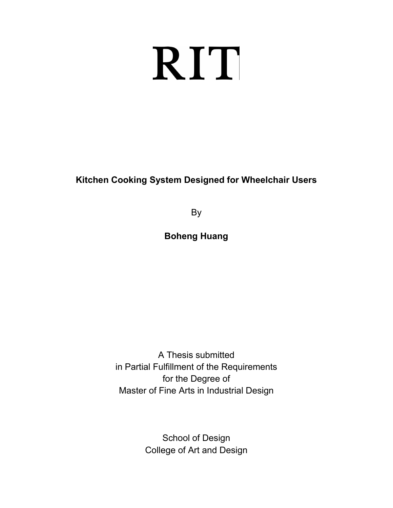# RIT

# **Kitchen Cooking System Designed for Wheelchair Users**

By

**Boheng Huang**

A Thesis submitted in Partial Fulfillment of the Requirements for the Degree of Master of Fine Arts in Industrial Design

> School of Design College of Art and Design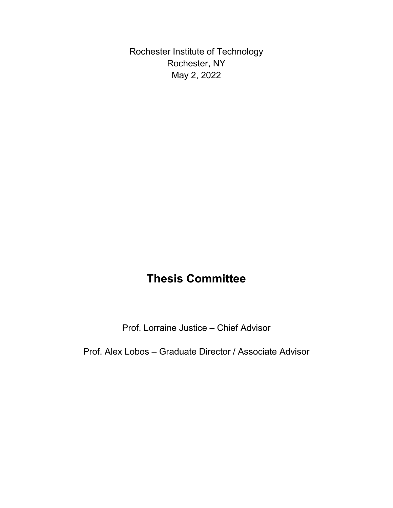Rochester Institute of Technology Rochester, NY May 2, 2022

# **Thesis Committee**

Prof. Lorraine Justice – Chief Advisor

Prof. Alex Lobos – Graduate Director / Associate Advisor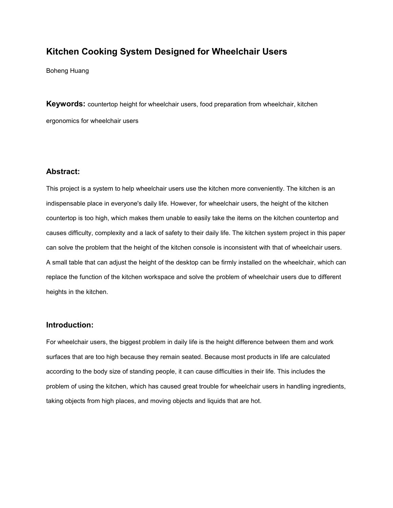# **Kitchen Cooking System Designed for Wheelchair Users**

Boheng Huang

**Keywords:** countertop height for wheelchair users, food preparation from wheelchair, kitchen ergonomics for wheelchair users

#### **Abstract:**

This project is a system to help wheelchair users use the kitchen more conveniently. The kitchen is an indispensable place in everyone's daily life. However, for wheelchair users, the height of the kitchen countertop is too high, which makes them unable to easily take the items on the kitchen countertop and causes difficulty, complexity and a lack of safety to their daily life. The kitchen system project in this paper can solve the problem that the height of the kitchen console isinconsistent with that of wheelchair users. A small table that can adjust the height of the desktop can be firmly installed on the wheelchair, which can replace the function of the kitchen workspace and solve the problem of wheelchair users due to different heights in the kitchen.

#### **Introduction:**

For wheelchair users, the biggest problem in daily life is the height difference between them and work surfaces that are too high because they remain seated. Because most products in life are calculated according to the body size of standing people, it can cause difficulties in their life. This includes the problem of using the kitchen, which has caused great trouble for wheelchair users in handling ingredients, taking objects from high places, and moving objects and liquids that are hot.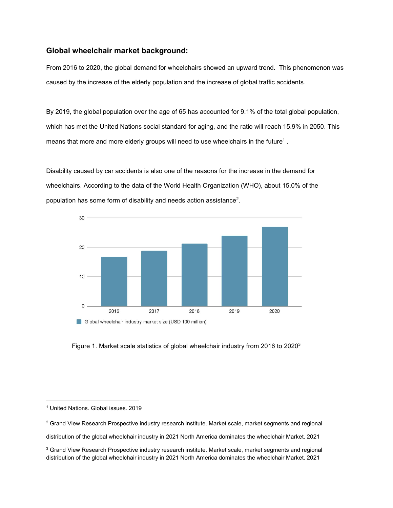## **Global wheelchair market background:**

From 2016 to 2020, the global demand for wheelchairs showed an upward trend. This phenomenon was caused by the increase of the elderly population and the increase of global traffic accidents.

By 2019, the global population over the age of 65 has accounted for 9.1% of the total global population, which has met the United Nations social standard for aging, and the ratio will reach 15.9% in 2050. This means that more and more elderly groups will need to use wheelchairs in the future $^{\rm 1}$  $^{\rm 1}$  $^{\rm 1}$  . .

Disability caused by car accidents is also one of the reasons for the increase in the demand for wheelchairs. According to the data of the World Health Organization (WHO), about 15.0% of the population has some form of disability and needs action assistance [2](#page-4-1) .



Figure 1. Market scale statistics of global wheelchair industry from 2016 to 2020<sup>3</sup> [3](#page-4-2)

<span id="page-4-1"></span> $2$  Grand View Research Prospective industry research institute. Market scale, market segments and regional

distribution of the global wheelchair industry in 2021 North America dominates the wheelchair Market. 2021

<span id="page-4-2"></span><sup>3</sup> Grand View Research Prospective industry research institute. Market scale, market segments and regional distribution of the global wheelchair industry in 2021 North America dominates the wheelchair Market. 2021

<span id="page-4-0"></span><sup>1</sup> United Nations. Global issues. 2019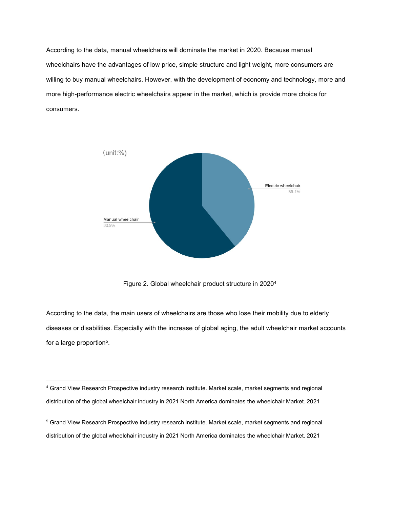According to the data, manual wheelchairs will dominate the market in 2020. Because manual wheelchairs have the advantages of low price, simple structure and light weight, more consumers are willing to buy manual wheelchairs. However, with the development of economy and technology, more and more high-performance electric wheelchairs appear in the market, which is provide more choice for consumers.



Figure 2. Global wheelchair product structure in 2020 [4](#page-5-0)

According to the data, the main users of wheelchairs are those who lose their mobility due to elderly diseases or disabilities. Especially with the increase of global aging, the adult wheelchair market accounts for a large proportion<sup>5</sup>.  $5<sub>5</sub>$  $5<sub>5</sub>$ .

<span id="page-5-0"></span><sup>4</sup> Grand View Research Prospective industry research institute. Market scale, market segments and regional distribution of the global wheelchair industry in 2021 North America dominates the wheelchair Market. 2021

<span id="page-5-1"></span><sup>5</sup> Grand View Research Prospective industry research institute. Market scale, market segments and regional distribution of the global wheelchair industry in 2021 North America dominates the wheelchair Market. 2021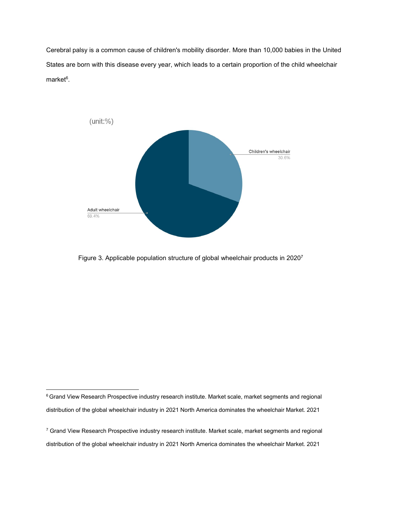Cerebral palsy is a common cause of children's mobility disorder. More than 10,000 babies in the United States are born with this disease every year, which leads to a certain proportion of the child wheelchair market $6$ . .



Figure 3. Applicable population structure of global wheelchair products in 2020<sup>7</sup> [7](#page-6-1)

<span id="page-6-0"></span><sup>&</sup>lt;sup>6</sup> Grand View Research Prospective industry research institute. Market scale, market segments and regional distribution of the global wheelchair industry in 2021 North America dominates the wheelchair Market. 2021

<span id="page-6-1"></span><sup>&</sup>lt;sup>7</sup> Grand View Research Prospective industry research institute. Market scale, market segments and regional distribution of the global wheelchair industry in 2021 North America dominates the wheelchair Market. 2021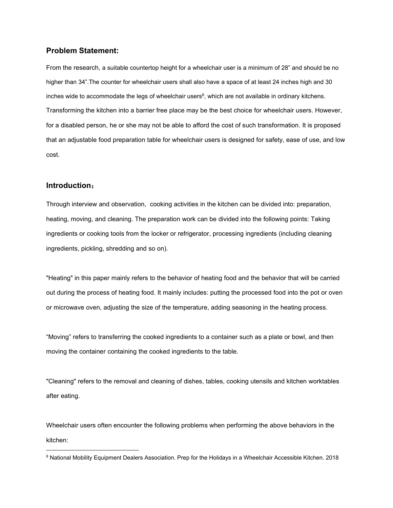## **Problem Statement:**

From the research, a suitable countertop height for a wheelchair user is a minimum of 28" and should be no higher than 34".The counter for wheelchair users shall also have a space of at least 24 inches high and 30 inches wide to accommodate the legs of wheelchair users $^8$  $^8$ , which are not available in ordinary kitchens. Transforming the kitchen into a barrier free place may be the best choice for wheelchair users. However, for a disabled person, he or she may not be able to afford the cost of such transformation. It is proposed that an adjustable food preparation table for wheelchair users is designed for safety, ease of use, and low cost.

#### **Introduction**:

Through interview and observation, cooking activities in the kitchen can be divided into: preparation, heating, moving, and cleaning. The preparation work can be divided into the following points: Taking ingredients or cooking tools from the locker or refrigerator, processing ingredients (including cleaning ingredients, pickling, shredding and so on).<br>"Heating" in this paper mainly refers to the behavior of heating food and the behavior that will be carried

out during the process of heating food. It mainly includes: putting the processed food into the pot or oven or microwave oven, adjusting the size of the temperature, adding seasoning in the heating process.

"Moving" refers to transferring the cooked ingredients to a container such as a plate or bowl, and then moving the container containing the cooked ingredients to the table.

"Cleaning" refers to the removal and cleaning of dishes, tables, cooking utensils and kitchen worktables after eating.

Wheelchair users often encounter the following problems when performing the above behaviors in the kitchen:

<span id="page-7-0"></span><sup>8</sup> National Mobility Equipment Dealers Association. Prep for the Holidays in a [Wheelchair](https://nmeda.org/wheelchair-accessible-kitchen/) Accessible Kitchen. 2018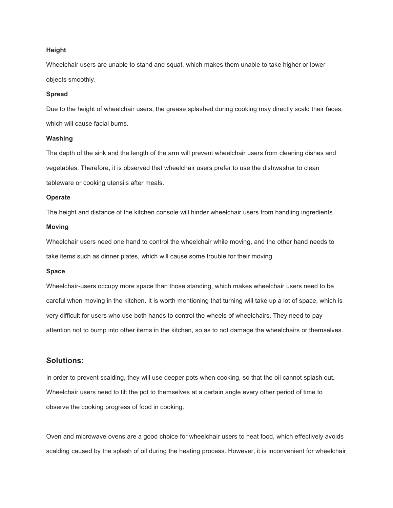#### **Height**

Wheelchair users are unable to stand and squat, which makes them unable to take higher or lower objects smoothly.

#### **Spread**

Due to the height of wheelchair users, the grease splashed during cooking may directly scald their faces, which will cause facial burns.

#### **Washing**

The depth of the sink and the length of the arm will prevent wheelchair users from cleaning dishes and vegetables. Therefore, it is observed that wheelchair users prefer to use the dishwasher to clean tableware or cooking utensils after meals.

#### **Operate**

The height and distance of the kitchen console will hinder wheelchair users from handling ingredients.

#### **Moving**

Wheelchair users need one hand to control the wheelchair while moving, and the other hand needs to take items such as dinner plates, which will cause some trouble for their moving.

#### **Space**

Wheelchair-users occupy more space than those standing, which makes wheelchair users need to be careful when moving in the kitchen. It is worth mentioning that turning will take up a lot of space, which is very difficult for users who use both hands to control the wheels of wheelchairs. They need to pay attention not to bump into other items in the kitchen, so as to not damage the wheelchairs or themselves.

## **Solutions:**

In order to prevent scalding, they will use deeper pots when cooking, so that the oil cannot splash out. Wheelchair users need to tilt the pot to themselves at a certain angle every other period of time to observe the cooking progress of food in cooking.

Oven and microwave ovens are a good choice for wheelchair users to heat food, which effectively avoids scalding caused by the splash of oil during the heating process. However, it is inconvenient for wheelchair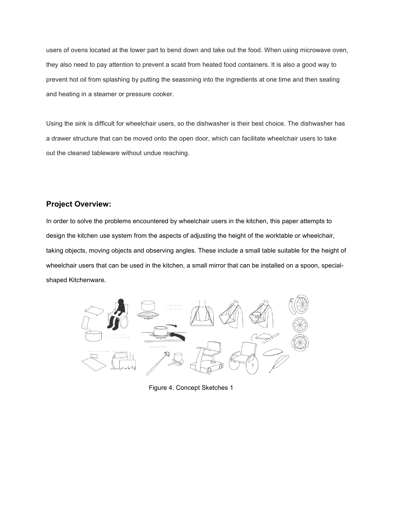users of ovens located at the lower part to bend down and take out the food. When using microwave oven, they also need to pay attention to prevent a scald from heated food containers. It is also a good way to prevent hot oil from splashing by putting the seasoning into the ingredients at one time and then sealing and heating in a steamer or pressure cooker.

Using the sink is difficult for wheelchair users, so the dishwasher is their best choice. The dishwasher has a drawer structure that can be moved onto the open door, which can facilitate wheelchair users to take out the cleaned tableware without undue reaching.

# **Project Overview:**

In order to solve the problems encountered by wheelchair users in the kitchen, this paper attempts to design the kitchen use system from the aspects of adjusting the height of the worktable or wheelchair, taking objects, moving objects and observing angles. These include a small table suitable for the height of wheelchair users that can be used in the kitchen, a small mirror that can be installed on a spoon, special shaped Kitchenware.



Figure 4. Concept Sketches 1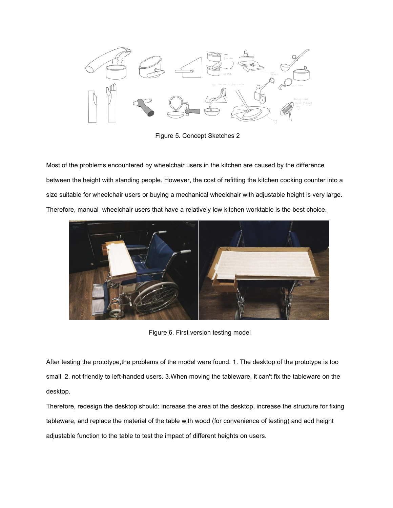

Figure 5. Concept Sketches 2

Most of the problems encountered by wheelchair users in the kitchen are caused by the difference between the height with standing people. However, the cost of refitting the kitchen cooking counter into a size suitable for wheelchair users or buying a mechanical wheelchair with adjustable height is very large. Therefore, manual wheelchair users that have a relatively low kitchen worktable is the best choice.



Figure 6. First version testing model

After testing the prototype, the problems of the model were found: 1. The desktop of the prototype is too small. 2. not friendly to left-handed users. 3.When moving the tableware, it can't fix the tableware on the desktop.

Therefore, redesign the desktop should: increase the area of the desktop, increase the structure for fixing tableware, and replace the material of the table with wood (for convenience of testing) and add height adjustable function to the table to test the impact of different heights on users.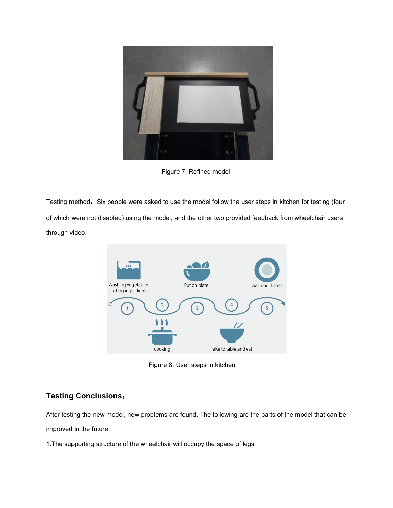

Figure 7. Refined model

Testing method: Six people were asked to use the model follow the user steps in kitchen for testing (four of which were not disabled) using the model, and the other two provided feedback from wheelchair users through video.



Figure 8. User steps in kitchen

# **Testing Conclusions**:

After testing the new model, new problems are found. The following are the parts of the model that can be

improved in the future:

1. The supporting structure of the wheelchair will occupy the space of legs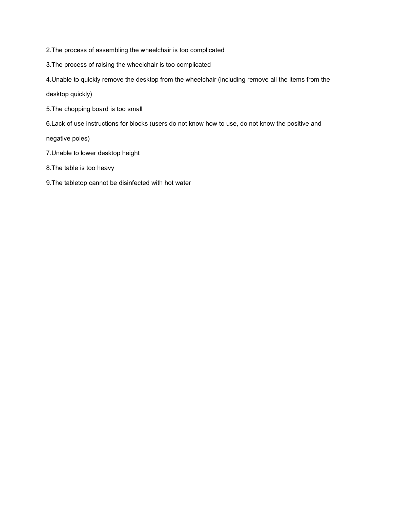2.The process of assembling the wheelchair is too complicated

3.The process of raising the wheelchair is too complicated

4.Unable to quickly remove the desktop from the wheelchair (including remove all the items from the

desktop quickly)

- 5. The chopping board is too small
- 6.Lack of use instructions for blocks (users do not know how to use, do not know the positive and

negative poles)

- 7.Unable to lower desktop height
- 8.The table is too heavy
- 9.The tabletop cannot be disinfected with hot water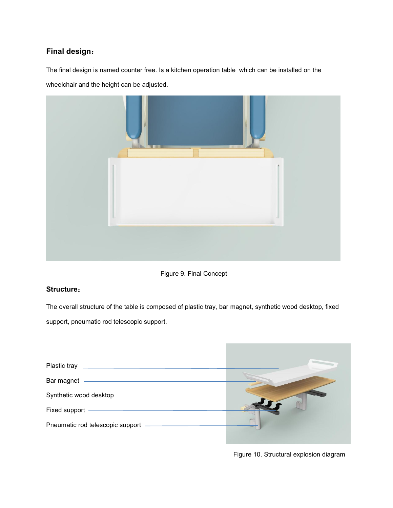# **Final design**:

The final design is named counter free. Is a kitchen operation table which can be installed on the wheelchair and the height can be adjusted.



Figure 9. Final Concept

## **Structure**:

The overall structure of the table is composed of plastic tray, bar magnet, synthetic wood desktop, fixed support, pneumatic rod telescopic support.



Figure 10. Structural explosion diagram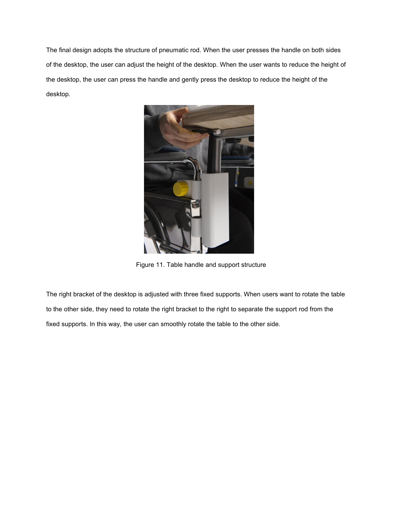The final design adopts the structure of pneumatic rod. When the user presses the handle on both sides of the desktop, the user can adjust the height of the desktop. When the user wants to reduce the height of the desktop, the user can press the handle and gently press the desktop to reduce the height of the desktop.



Figure 11. Table handle and support structure

The right bracket of the desktop is adjusted with three fixed supports. When users want to rotate the table to the other side, they need to rotate the right bracket to the right to separate the support rod from the fixed supports. In this way, the user can smoothly rotate the table to the other side.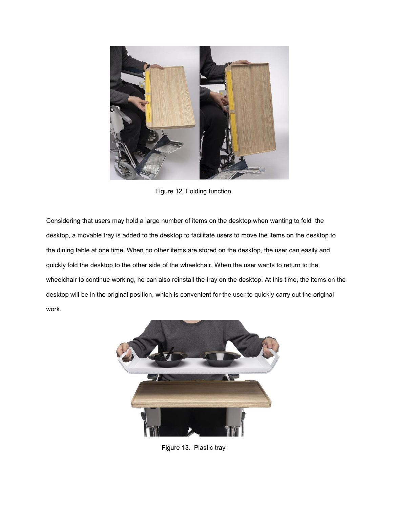

Figure 12. Folding function

Considering that users may hold a large number of items on the desktop when wanting to fold the desktop, a movable tray is added to the desktop to facilitate users to move the items on the desktop to the dining table at one time. When no other items are stored on the desktop, the user can easily and quickly fold the desktop to the other side of the wheelchair. When the user wants to return to the wheelchair to continue working, he can also reinstall the tray on the desktop. At this time, the items on the desktop will be in the original position, which is convenient for the user to quickly carry out the original work.



Figure 13. Plastic tray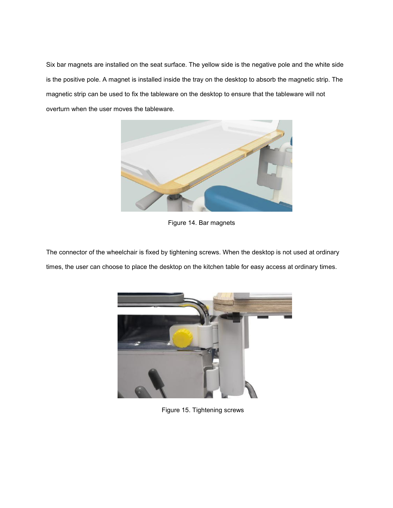Six bar magnets are installed on the seat surface. The yellow side is the negative pole and the white side is the positive pole. A magnet is installed inside the tray on the desktop to absorb the magnetic strip. The magnetic strip can be used to fix the tableware on the desktop to ensure that the tableware will not overturn when the user moves the tableware.



Figure 14. Bar magnets

The connector of the wheelchair is fixed by tightening screws. When the desktop is not used at ordinary times, the user can choose to place the desktop on the kitchen table for easy access at ordinary times.



Figure 15. Tightening screws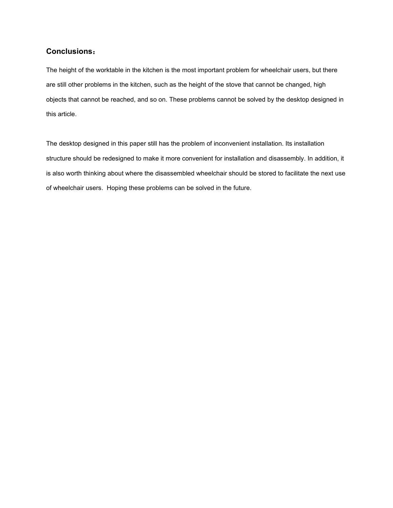# **Conclusions**:

The height of the worktable in the kitchen is the most important problem for wheelchair users, but there are still other problems in the kitchen, such as the height of the stove that cannot be changed, high objects that cannot be reached, and so on. These problems cannot be solved by the desktop designed in this article.

The desktop designed in this paper still has the problem of inconvenient installation. Its installation structure should be redesigned to make it more convenient for installation and disassembly. In addition, it is also worth thinking about where the disassembled wheelchair should be stored to facilitate the next use of wheelchair users. Hoping these problems can be solved in the future.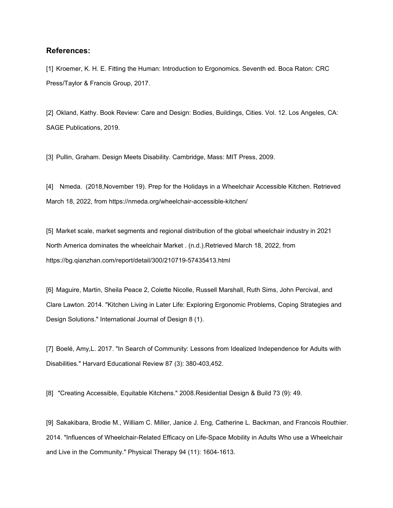#### **References:**

[1] Kroemer, K. H. E. Fitting the Human: Introduction to Ergonomics. Seventh ed. Boca Raton: CRC Press/Taylor & Francis Group, 2017.

[2] Okland, Kathy. Book Review: Care and Design: Bodies, Buildings, Cities. Vol. 12. Los Angeles, CA: SAGE Publications, 2019.

[3] Pullin, Graham. Design Meets Disability. Cambridge, Mass: MIT Press, 2009.

[4] [Nme](https://nmeda.org/author/nmeda/)da. (2018,November 19). Prep for the Holidays in a [Wheelchair](https://nmeda.org/wheelchair-accessible-kitchen/) Accessible Kitchen. Retrieved March 18, 2022, from https://nmeda.org/wheelchair-accessible-kitchen/

[5] Market scale, market segments and regional distribution of the global wheelchair industry in 2021 North America dominates the wheelchair Market . (n.d.).Retrieved March 18, 2022, from https://bg.qianzhan.com/report/detail/300/210719-57435413.html

[6] Maguire, Martin, Sheila Peace 2, Colette Nicolle, Russell Marshall, Ruth Sims, John Percival, and Clare Lawton. 2014. "Kitchen Living in Later Life: Exploring Ergonomic Problems, Coping Strategies and Design Solutions." International Journal of Design 8 (1).

[7] Boelé, Amy,L. 2017. "In Search of Community: Lessons from Idealized Independence for Adults with Disabilities." Harvard Educational Review 87 (3): 380-403,452.

[8] "Creating Accessible,Equitable Kitchens." 2008.Residential Design & Build 73 (9): 49.

[9] Sakakibara, Brodie M., William C. Miller, Janice J. Eng, Catherine L. Backman, and Francois Routhier. 2014. "Influences of Wheelchair-Related Efficacy on Life-Space Mobility in Adults Who use a Wheelchair and Live in the Community." Physical Therapy 94 (11): 1604-1613.